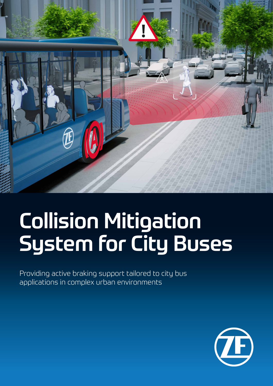

# Collision Mitigation System for City Buses

Providing active braking support tailored to city bus applications in complex urban environments

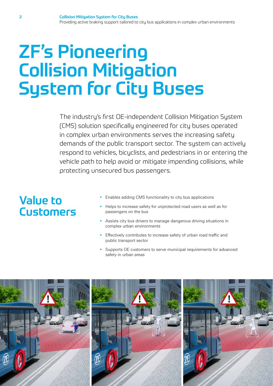## ZF's Pioneering Collision Mitigation System for City Buses

The industry's first OE-independent Collision Mitigation System (CMS) solution specifically engineered for city buses operated in complex urban environments serves the increasing safety demands of the public transport sector. The sustem can actively respond to vehicles, bicyclists, and pedestrians in or entering the vehicle path to help avoid or mitigate impending collisions, while protecting unsecured bus passengers.

### Value to Customers

- Enables adding CMS functionality to city bus applications
- Helps to increase safety for unprotected road users as well as for passengers on the bus
- Assists city bus drivers to manage dangerous driving situations in complex urban environments
- Effectively contributes to increase safety of urban road traffic and public transport sector
- Supports OE customers to serve municipal requirements for advanced safety in urban areas





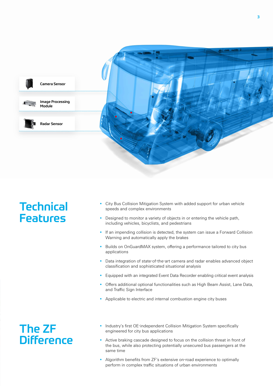

#### **Technical** Features

- City Bus Collision Mitigation System with added support for urban vehicle speeds and complex environments
- Designed to monitor a variety of objects in or entering the vehicle path, including vehicles, bicyclists, and pedestrians
- If an impending collision is detected, the system can issue a Forward Collision Warning and automatically apply the brakes
- Builds on OnGuardMAX system, offering a performance tailored to city bus applications
- Data integration of state-of-the-art camera and radar enables advanced object classification and sophisticated situational analysis
- Equipped with an integrated Event Data Recorder enabling critical event analysis
- Offers additional optional functionalities such as High Beam Assist, Lane Data, and Traffic Sign Interface
- Applicable to electric and internal combustion engine city buses

#### The ZF **Difference**

- Industry's first OE-independent Collision Mitigation System specifically engineered for city bus applications
- Active braking cascade designed to focus on the collision threat in front of the bus, while also protecting potentially unsecured bus passengers at the same time
- Algorithm benefits from ZF's extensive on-road experience to optimally perform in complex traffic situations of urban environments